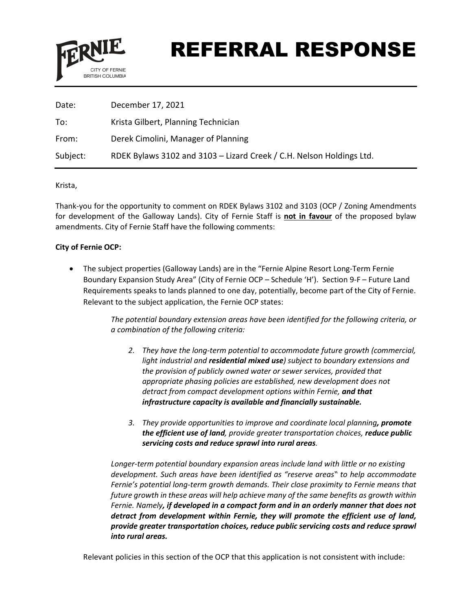

# REFERRAL RESPONSE

| Date:    | December 17, 2021                                                    |
|----------|----------------------------------------------------------------------|
| To:      | Krista Gilbert, Planning Technician                                  |
| From:    | Derek Cimolini, Manager of Planning                                  |
| Subject: | RDEK Bylaws 3102 and 3103 - Lizard Creek / C.H. Nelson Holdings Ltd. |

Krista,

Thank-you for the opportunity to comment on RDEK Bylaws 3102 and 3103 (OCP / Zoning Amendments for development of the Galloway Lands). City of Fernie Staff is **not in favour** of the proposed bylaw amendments. City of Fernie Staff have the following comments:

### **City of Fernie OCP:**

• The subject properties (Galloway Lands) are in the "Fernie Alpine Resort Long-Term Fernie Boundary Expansion Study Area" (City of Fernie OCP – Schedule 'H'). Section 9-F – Future Land Requirements speaks to lands planned to one day, potentially, become part of the City of Fernie. Relevant to the subject application, the Fernie OCP states:

> *The potential boundary extension areas have been identified for the following criteria, or a combination of the following criteria:*

- *2. They have the long-term potential to accommodate future growth (commercial, light industrial and residential mixed use) subject to boundary extensions and the provision of publicly owned water or sewer services, provided that appropriate phasing policies are established, new development does not detract from compact development options within Fernie, and that infrastructure capacity is available and financially sustainable.*
- *3. They provide opportunities to improve and coordinate local planning, promote the efficient use of land, provide greater transportation choices, reduce public servicing costs and reduce sprawl into rural areas.*

*Longer-term potential boundary expansion areas include land with little or no existing development. Such areas have been identified as "reserve areas" to help accommodate Fernie's potential long-term growth demands. Their close proximity to Fernie means that future growth in these areas will help achieve many of the same benefits as growth within Fernie. Namely, if developed in a compact form and in an orderly manner that does not detract from development within Fernie, they will promote the efficient use of land, provide greater transportation choices, reduce public servicing costs and reduce sprawl into rural areas.*

Relevant policies in this section of the OCP that this application is not consistent with include: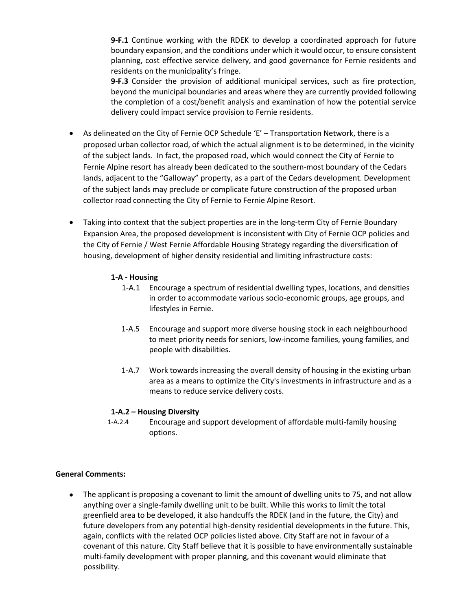**9-F.1** Continue working with the RDEK to develop a coordinated approach for future boundary expansion, and the conditions under which it would occur, to ensure consistent planning, cost effective service delivery, and good governance for Fernie residents and residents on the municipality's fringe.

**9-F.3** Consider the provision of additional municipal services, such as fire protection, beyond the municipal boundaries and areas where they are currently provided following the completion of a cost/benefit analysis and examination of how the potential service delivery could impact service provision to Fernie residents.

- As delineated on the City of Fernie OCP Schedule 'E' Transportation Network, there is a proposed urban collector road, of which the actual alignment is to be determined, in the vicinity of the subject lands. In fact, the proposed road, which would connect the City of Fernie to Fernie Alpine resort has already been dedicated to the southern-most boundary of the Cedars lands, adjacent to the "Galloway" property, as a part of the Cedars development. Development of the subject lands may preclude or complicate future construction of the proposed urban collector road connecting the City of Fernie to Fernie Alpine Resort.
- Taking into context that the subject properties are in the long-term City of Fernie Boundary Expansion Area, the proposed development is inconsistent with City of Fernie OCP policies and the City of Fernie / West Fernie Affordable Housing Strategy regarding the diversification of housing, development of higher density residential and limiting infrastructure costs:

## **1-A - Housing**

- 1-A.1 Encourage a spectrum of residential dwelling types, locations, and densities in order to accommodate various socio-economic groups, age groups, and lifestyles in Fernie.
- 1-A.5 Encourage and support more diverse housing stock in each neighbourhood to meet priority needs for seniors, low-income families, young families, and people with disabilities.
- 1-A.7 Work towards increasing the overall density of housing in the existing urban area as a means to optimize the City's investments in infrastructure and as a means to reduce service delivery costs.

### **1-A.2 – Housing Diversity**

1-A.2.4 Encourage and support development of affordable multi-family housing options.

### **General Comments:**

• The applicant is proposing a covenant to limit the amount of dwelling units to 75, and not allow anything over a single-family dwelling unit to be built. While this works to limit the total greenfield area to be developed, it also handcuffs the RDEK (and in the future, the City) and future developers from any potential high-density residential developments in the future. This, again, conflicts with the related OCP policies listed above. City Staff are not in favour of a covenant of this nature. City Staff believe that it is possible to have environmentally sustainable multi-family development with proper planning, and this covenant would eliminate that possibility.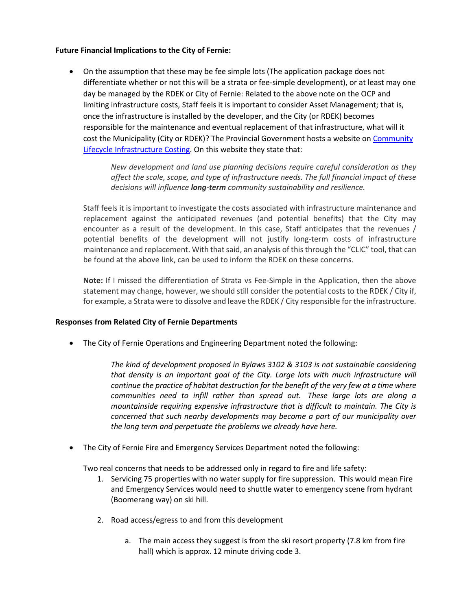#### **Future Financial Implications to the City of Fernie:**

• On the assumption that these may be fee simple lots (The application package does not differentiate whether or not this will be a strata or fee-simple development), or at least may one day be managed by the RDEK or City of Fernie: Related to the above note on the OCP and limiting infrastructure costs, Staff feels it is important to consider Asset Management; that is, once the infrastructure is installed by the developer, and the City (or RDEK) becomes responsible for the maintenance and eventual replacement of that infrastructure, what will it cost the Municipality (City or RDEK)? The Provincial Government hosts a website on [Community](https://www2.gov.bc.ca/gov/content/governments/local-governments/planning-land-use/local-government-planning/community-lifecycle-infrastructure-costing?keyword=CLIC)  [Lifecycle Infrastructure Costing.](https://www2.gov.bc.ca/gov/content/governments/local-governments/planning-land-use/local-government-planning/community-lifecycle-infrastructure-costing?keyword=CLIC) On this website they state that:

> *New development and land use planning decisions require careful consideration as they affect the scale, scope, and type of infrastructure needs. The full financial impact of these decisions will influence long-term community sustainability and resilience.*

Staff feels it is important to investigate the costs associated with infrastructure maintenance and replacement against the anticipated revenues (and potential benefits) that the City may encounter as a result of the development. In this case, Staff anticipates that the revenues / potential benefits of the development will not justify long-term costs of infrastructure maintenance and replacement. With that said, an analysis of this through the "CLIC" tool, that can be found at the above link, can be used to inform the RDEK on these concerns.

**Note:** If I missed the differentiation of Strata vs Fee-Simple in the Application, then the above statement may change, however, we should still consider the potential costs to the RDEK / City if, for example, a Strata were to dissolve and leave the RDEK / City responsible for the infrastructure.

### **Responses from Related City of Fernie Departments**

• The City of Fernie Operations and Engineering Department noted the following:

*The kind of development proposed in Bylaws 3102 & 3103 is not sustainable considering that density is an important goal of the City. Large lots with much infrastructure will continue the practice of habitat destruction for the benefit of the very few at a time where communities need to infill rather than spread out. These large lots are along a mountainside requiring expensive infrastructure that is difficult to maintain. The City is concerned that such nearby developments may become a part of our municipality over the long term and perpetuate the problems we already have here.*

• The City of Fernie Fire and Emergency Services Department noted the following:

Two real concerns that needs to be addressed only in regard to fire and life safety:

- 1. Servicing 75 properties with no water supply for fire suppression. This would mean Fire and Emergency Services would need to shuttle water to emergency scene from hydrant (Boomerang way) on ski hill.
- 2. Road access/egress to and from this development
	- a. The main access they suggest is from the ski resort property (7.8 km from fire hall) which is approx. 12 minute driving code 3.